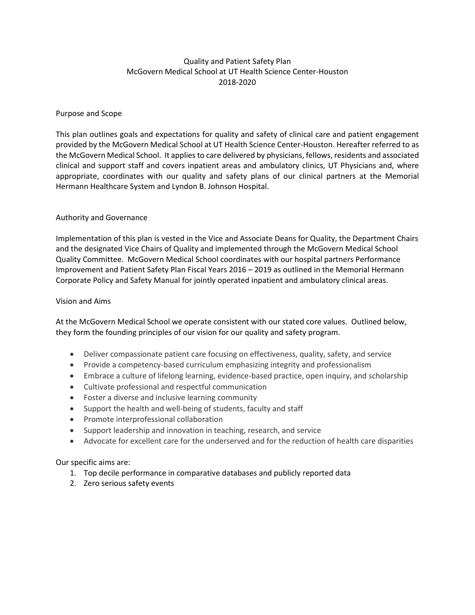# Quality and Patient Safety Plan McGovern Medical School at UT Health Science Center-Houston 2018-2020

#### Purpose and Scope

This plan outlines goals and expectations for quality and safety of clinical care and patient engagement provided by the McGovern Medical School at UT Health Science Center-Houston. Hereafter referred to as the McGovern Medical School. It applies to care delivered by physicians, fellows, residents and associated clinical and support staff and covers inpatient areas and ambulatory clinics, UT Physicians and, where appropriate, coordinates with our quality and safety plans of our clinical partners at the Memorial Hermann Healthcare System and Lyndon B. Johnson Hospital.

#### Authority and Governance

Implementation of this plan is vested in the Vice and Associate Deans for Quality, the Department Chairs and the designated Vice Chairs of Quality and implemented through the McGovern Medical School Quality Committee. McGovern Medical School coordinates with our hospital partners Performance Improvement and Patient Safety Plan Fiscal Years 2016 – 2019 as outlined in the Memorial Hermann Corporate Policy and Safety Manual for jointly operated inpatient and ambulatory clinical areas.

#### Vision and Aims

At the McGovern Medical School we operate consistent with our stated core values. Outlined below, they form the founding principles of our vision for our quality and safety program.

- Deliver compassionate patient care focusing on effectiveness, quality, safety, and service
- Provide a competency-based curriculum emphasizing integrity and professionalism
- Embrace a culture of lifelong learning, evidence-based practice, open inquiry, and scholarship
- Cultivate professional and respectful communication
- Foster a diverse and inclusive learning community
- Support the health and well-being of students, faculty and staff
- Promote interprofessional collaboration
- Support leadership and innovation in teaching, research, and service
- Advocate for excellent care for the underserved and for the reduction of health care disparities

Our specific aims are:

- 1. Top decile performance in comparative databases and publicly reported data
- 2. Zero serious safety events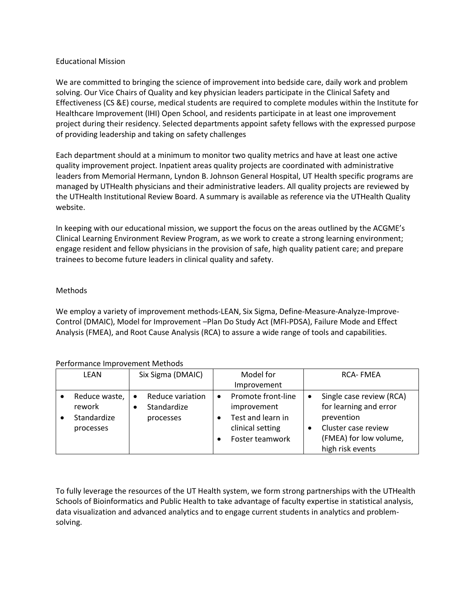#### Educational Mission

We are committed to bringing the science of improvement into bedside care, daily work and problem solving. Our Vice Chairs of Quality and key physician leaders participate in the Clinical Safety and Effectiveness (CS &E) course, medical students are required to complete modules within the Institute for Healthcare Improvement (IHI) Open School, and residents participate in at least one improvement project during their residency. Selected departments appoint safety fellows with the expressed purpose of providing leadership and taking on safety challenges

Each department should at a minimum to monitor two quality metrics and have at least one active quality improvement project. Inpatient areas quality projects are coordinated with administrative leaders from Memorial Hermann, Lyndon B. Johnson General Hospital, UT Health specific programs are managed by UTHealth physicians and their administrative leaders. All quality projects are reviewed by the UTHealth Institutional Review Board. A summary is available as reference via the UTHealth Quality website.

In keeping with our educational mission, we support the focus on the areas outlined by the ACGME's Clinical Learning Environment Review Program, as we work to create a strong learning environment; engage resident and fellow physicians in the provision of safe, high quality patient care; and prepare trainees to become future leaders in clinical quality and safety.

# Methods

We employ a variety of improvement methods-LEAN, Six Sigma, Define-Measure-Analyze-Improve-Control (DMAIC), Model for Improvement –Plan Do Study Act (MFI-PDSA), Failure Mode and Effect Analysis (FMEA), and Root Cause Analysis (RCA) to assure a wide range of tools and capabilities.

## Performance Improvement Methods

| LEAN |               | Six Sigma (DMAIC) |                  | Model for |                    | <b>RCA-FMEA</b> |                          |
|------|---------------|-------------------|------------------|-----------|--------------------|-----------------|--------------------------|
|      |               |                   |                  |           | Improvement        |                 |                          |
|      | Reduce waste, | $\bullet$         | Reduce variation |           | Promote front-line | $\bullet$       | Single case review (RCA) |
|      | rework        |                   | Standardize      |           | improvement        |                 | for learning and error   |
|      | Standardize   |                   | processes        |           | Test and learn in  |                 | prevention               |
|      | processes     |                   |                  |           | clinical setting   |                 | Cluster case review      |
|      |               |                   |                  |           | Foster teamwork    |                 | (FMEA) for low volume,   |
|      |               |                   |                  |           |                    |                 | high risk events         |

To fully leverage the resources of the UT Health system, we form strong partnerships with the UTHealth Schools of Bioinformatics and Public Health to take advantage of faculty expertise in statistical analysis, data visualization and advanced analytics and to engage current students in analytics and problemsolving.